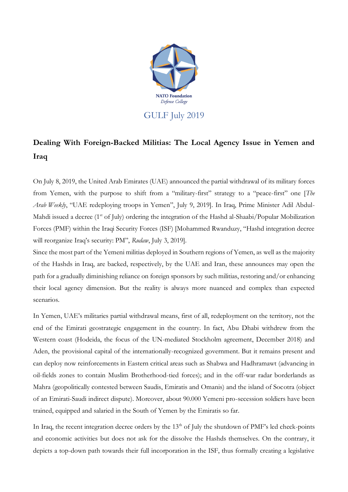

## **Dealing With Foreign-Backed Militias: The Local Agency Issue in Yemen and Iraq**

On July 8, 2019, the United Arab Emirates (UAE) announced the partial withdrawal of its military forces from Yemen, with the purpose to shift from a "military-first" strategy to a "peace-first" one [*The Arab Weekly*, "UAE redeploying troops in Yemen", July 9, 2019]. In Iraq, Prime Minister Adil Abdul-Mahdi issued a decree (1<sup>st</sup> of July) ordering the integration of the Hashd al-Shaabi/Popular Mobilization Forces (PMF) within the Iraqi Security Forces (ISF) [Mohammed Rwanduzy, "Hashd integration decree will reorganize Iraq's security: PM", *Rudaw*, July 3, 2019].

Since the most part of the Yemeni militias deployed in Southern regions of Yemen, as well as the majority of the Hashds in Iraq, are backed, respectively, by the UAE and Iran, these announces may open the path for a gradually diminishing reliance on foreign sponsors by such militias, restoring and/or enhancing their local agency dimension. But the reality is always more nuanced and complex than expected scenarios.

In Yemen, UAE's militaries partial withdrawal means, first of all, redeployment on the territory, not the end of the Emirati geostrategic engagement in the country. In fact, Abu Dhabi withdrew from the Western coast (Hodeida, the focus of the UN-mediated Stockholm agreement, December 2018) and Aden, the provisional capital of the internationally-recognized government. But it remains present and can deploy now reinforcements in Eastern critical areas such as Shabwa and Hadhramawt (advancing in oil-fields zones to contain Muslim Brotherhood-tied forces); and in the off-war radar borderlands as Mahra (geopolitically contested between Saudis, Emiratis and Omanis) and the island of Socotra (object of an Emirati-Saudi indirect dispute). Moreover, about 90.000 Yemeni pro-secession soldiers have been trained, equipped and salaried in the South of Yemen by the Emiratis so far.

In Iraq, the recent integration decree orders by the  $13<sup>th</sup>$  of July the shutdown of PMF's led check-points and economic activities but does not ask for the dissolve the Hashds themselves. On the contrary, it depicts a top-down path towards their full incorporation in the ISF, thus formally creating a legislative